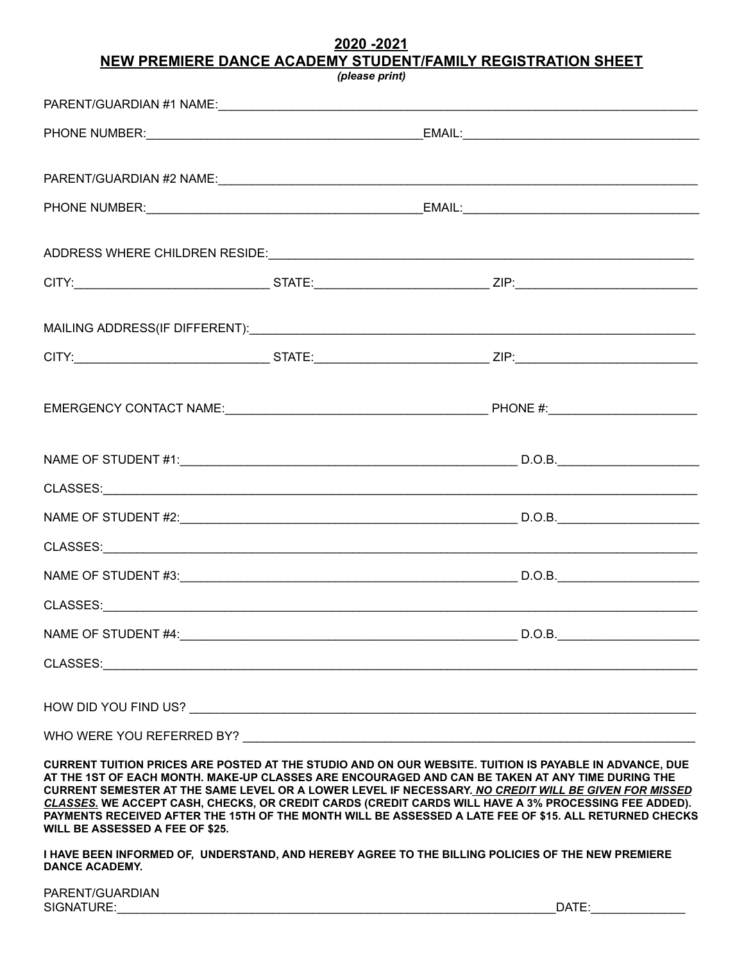## **2020 -2021 NEW PREMIERE DANCE ACADEMY STUDENT/FAMILY REGISTRATION SHEET**

| (please print)                                                                                                                                                                                                                |  |                                                                                                                                                                                                                                                                                                                                                                                                                                                                                                                                      |
|-------------------------------------------------------------------------------------------------------------------------------------------------------------------------------------------------------------------------------|--|--------------------------------------------------------------------------------------------------------------------------------------------------------------------------------------------------------------------------------------------------------------------------------------------------------------------------------------------------------------------------------------------------------------------------------------------------------------------------------------------------------------------------------------|
|                                                                                                                                                                                                                               |  |                                                                                                                                                                                                                                                                                                                                                                                                                                                                                                                                      |
|                                                                                                                                                                                                                               |  |                                                                                                                                                                                                                                                                                                                                                                                                                                                                                                                                      |
|                                                                                                                                                                                                                               |  |                                                                                                                                                                                                                                                                                                                                                                                                                                                                                                                                      |
|                                                                                                                                                                                                                               |  |                                                                                                                                                                                                                                                                                                                                                                                                                                                                                                                                      |
|                                                                                                                                                                                                                               |  |                                                                                                                                                                                                                                                                                                                                                                                                                                                                                                                                      |
|                                                                                                                                                                                                                               |  |                                                                                                                                                                                                                                                                                                                                                                                                                                                                                                                                      |
|                                                                                                                                                                                                                               |  |                                                                                                                                                                                                                                                                                                                                                                                                                                                                                                                                      |
|                                                                                                                                                                                                                               |  |                                                                                                                                                                                                                                                                                                                                                                                                                                                                                                                                      |
|                                                                                                                                                                                                                               |  |                                                                                                                                                                                                                                                                                                                                                                                                                                                                                                                                      |
|                                                                                                                                                                                                                               |  |                                                                                                                                                                                                                                                                                                                                                                                                                                                                                                                                      |
|                                                                                                                                                                                                                               |  |                                                                                                                                                                                                                                                                                                                                                                                                                                                                                                                                      |
|                                                                                                                                                                                                                               |  |                                                                                                                                                                                                                                                                                                                                                                                                                                                                                                                                      |
|                                                                                                                                                                                                                               |  |                                                                                                                                                                                                                                                                                                                                                                                                                                                                                                                                      |
|                                                                                                                                                                                                                               |  |                                                                                                                                                                                                                                                                                                                                                                                                                                                                                                                                      |
|                                                                                                                                                                                                                               |  |                                                                                                                                                                                                                                                                                                                                                                                                                                                                                                                                      |
| CLASSES: New York State of the Classes of the Classes of the Classes of the Classes of the Classes of the Classes of the Classes of the Classes of the Classes of the Classes of the Classes of the Classes of the Classes of |  |                                                                                                                                                                                                                                                                                                                                                                                                                                                                                                                                      |
|                                                                                                                                                                                                                               |  |                                                                                                                                                                                                                                                                                                                                                                                                                                                                                                                                      |
|                                                                                                                                                                                                                               |  |                                                                                                                                                                                                                                                                                                                                                                                                                                                                                                                                      |
|                                                                                                                                                                                                                               |  |                                                                                                                                                                                                                                                                                                                                                                                                                                                                                                                                      |
|                                                                                                                                                                                                                               |  |                                                                                                                                                                                                                                                                                                                                                                                                                                                                                                                                      |
|                                                                                                                                                                                                                               |  | CURRENT TUITION PRICES ARE POSTED AT THE STUDIO AND ON OUR WEBSITE. TUITION IS PAYABLE IN ADVANCE, DUE<br>AT THE 1ST OF EACH MONTH. MAKE-UP CLASSES ARE ENCOURAGED AND CAN BE TAKEN AT ANY TIME DURING THE<br>CURRENT SEMESTER AT THE SAME LEVEL OR A LOWER LEVEL IF NECESSARY. NO CREDIT WILL BE GIVEN FOR MISSED<br>CLASSES. WE ACCEPT CASH, CHECKS, OR CREDIT CARDS (CREDIT CARDS WILL HAVE A 3% PROCESSING FEE ADDED).<br>PAYMENTS RECEIVED AFTER THE 15TH OF THE MONTH WILL BE ASSESSED A LATE FEE OF \$15. ALL RETURNED CHECKS |

**I HAVE BEEN INFORMED OF, UNDERSTAND, AND HEREBY AGREE TO THE BILLING POLICIES OF THE NEW PREMIERE DANCE ACADEMY.** 

**WILL BE ASSESSED A FEE OF \$25.**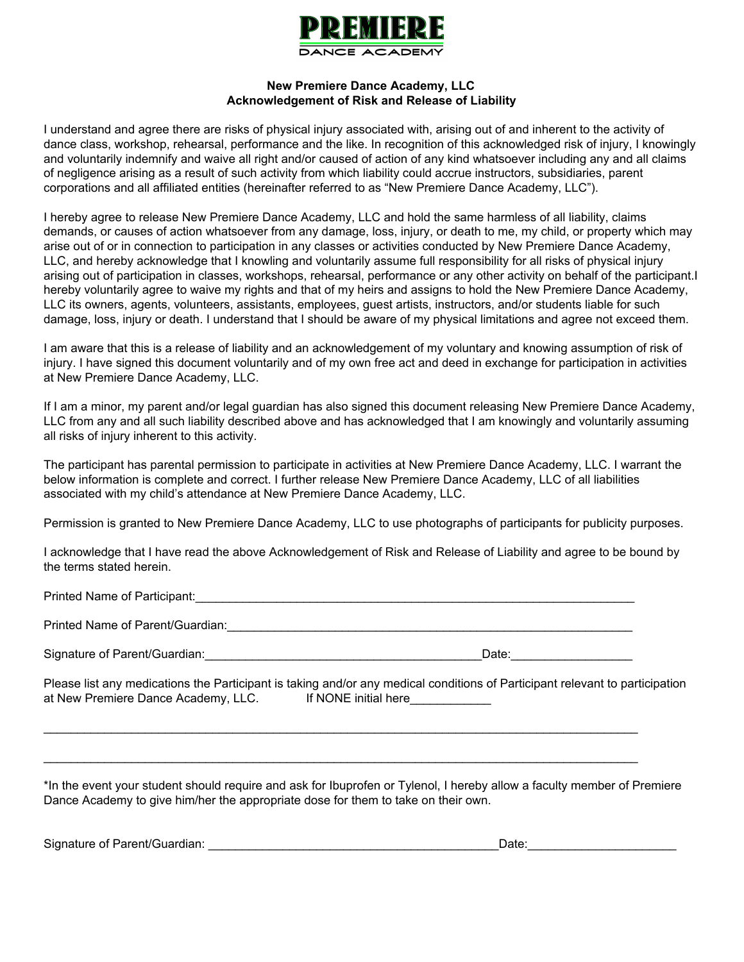

## **New Premiere Dance Academy, LLC Acknowledgement of Risk and Release of Liability**

I understand and agree there are risks of physical injury associated with, arising out of and inherent to the activity of dance class, workshop, rehearsal, performance and the like. In recognition of this acknowledged risk of injury, I knowingly and voluntarily indemnify and waive all right and/or caused of action of any kind whatsoever including any and all claims of negligence arising as a result of such activity from which liability could accrue instructors, subsidiaries, parent corporations and all affiliated entities (hereinafter referred to as "New Premiere Dance Academy, LLC").

I hereby agree to release New Premiere Dance Academy, LLC and hold the same harmless of all liability, claims demands, or causes of action whatsoever from any damage, loss, injury, or death to me, my child, or property which may arise out of or in connection to participation in any classes or activities conducted by New Premiere Dance Academy, LLC, and hereby acknowledge that I knowling and voluntarily assume full responsibility for all risks of physical injury arising out of participation in classes, workshops, rehearsal, performance or any other activity on behalf of the participant.I hereby voluntarily agree to waive my rights and that of my heirs and assigns to hold the New Premiere Dance Academy, LLC its owners, agents, volunteers, assistants, employees, guest artists, instructors, and/or students liable for such damage, loss, injury or death. I understand that I should be aware of my physical limitations and agree not exceed them.

I am aware that this is a release of liability and an acknowledgement of my voluntary and knowing assumption of risk of injury. I have signed this document voluntarily and of my own free act and deed in exchange for participation in activities at New Premiere Dance Academy, LLC.

If I am a minor, my parent and/or legal guardian has also signed this document releasing New Premiere Dance Academy, LLC from any and all such liability described above and has acknowledged that I am knowingly and voluntarily assuming all risks of injury inherent to this activity.

The participant has parental permission to participate in activities at New Premiere Dance Academy, LLC. I warrant the below information is complete and correct. I further release New Premiere Dance Academy, LLC of all liabilities associated with my child's attendance at New Premiere Dance Academy, LLC.

Permission is granted to New Premiere Dance Academy, LLC to use photographs of participants for publicity purposes.

I acknowledge that I have read the above Acknowledgement of Risk and Release of Liability and agree to be bound by the terms stated herein.

Printed Name of Participant:\_\_\_\_\_\_\_\_\_\_\_\_\_\_\_\_\_\_\_\_\_\_\_\_\_\_\_\_\_\_\_\_\_\_\_\_\_\_\_\_\_\_\_\_\_\_\_\_\_\_\_\_\_\_\_\_\_\_\_\_\_\_\_\_\_

Printed Name of Parent/Guardian:  $\Box$ 

Signature of Parent/Guardian: example of the state of the state of the state of the state of the state of the state of the state of the state of the state of the state of the state of the state of the state of the state of

Please list any medications the Participant is taking and/or any medical conditions of Participant relevant to participation at New Premiere Dance Academy, LLC. If NONE initial here

 $\_$  ,  $\_$  ,  $\_$  ,  $\_$  ,  $\_$  ,  $\_$  ,  $\_$  ,  $\_$  ,  $\_$  ,  $\_$  ,  $\_$  ,  $\_$  ,  $\_$  ,  $\_$  ,  $\_$  ,  $\_$  ,  $\_$  ,  $\_$  ,  $\_$  ,  $\_$  ,  $\_$  ,  $\_$  ,  $\_$  ,  $\_$  ,  $\_$  ,  $\_$  ,  $\_$  ,  $\_$  ,  $\_$  ,  $\_$  ,  $\_$  ,  $\_$  ,  $\_$  ,  $\_$  ,  $\_$  ,  $\_$  ,  $\_$  ,

 $\_$  ,  $\_$  ,  $\_$  ,  $\_$  ,  $\_$  ,  $\_$  ,  $\_$  ,  $\_$  ,  $\_$  ,  $\_$  ,  $\_$  ,  $\_$  ,  $\_$  ,  $\_$  ,  $\_$  ,  $\_$  ,  $\_$  ,  $\_$  ,  $\_$  ,  $\_$  ,  $\_$  ,  $\_$  ,  $\_$  ,  $\_$  ,  $\_$  ,  $\_$  ,  $\_$  ,  $\_$  ,  $\_$  ,  $\_$  ,  $\_$  ,  $\_$  ,  $\_$  ,  $\_$  ,  $\_$  ,  $\_$  ,  $\_$  ,

\*In the event your student should require and ask for Ibuprofen or Tylenol, I hereby allow a faculty member of Premiere Dance Academy to give him/her the appropriate dose for them to take on their own.

Signature of Parent/Guardian: \_\_\_\_\_\_\_\_\_\_\_\_\_\_\_\_\_\_\_\_\_\_\_\_\_\_\_\_\_\_\_\_\_\_\_\_\_\_\_\_\_\_\_Date:\_\_\_\_\_\_\_\_\_\_\_\_\_\_\_\_\_\_\_\_\_\_